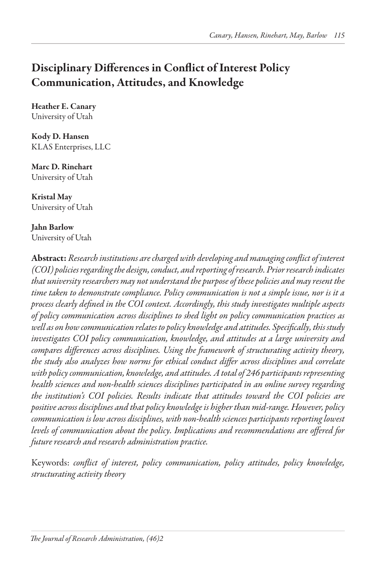# Disciplinary Differences in Conflict of Interest Policy Communication, Attitudes, and Knowledge

Heather E. Canary University of Utah

Kody D. Hansen KLAS Enterprises, LLC

Marc D. Rinehart University of Utah

Kristal May University of Utah

Jahn Barlow University of Utah

Abstract: *Research institutions are charged with developing and managing conflict of interest (COI) policies regarding the design, conduct, and reporting of research. Prior research indicates that university researchers may not understand the purpose of these policies and may resent the time taken to demonstrate compliance. Policy communication is not a simple issue, nor is it a process clearly defined in the COI context. Accordingly, this study investigates multiple aspects of policy communication across disciplines to shed light on policy communication practices as well as on how communication relates to policy knowledge and attitudes. Specifically, this study investigates COI policy communication, knowledge, and attitudes at a large university and compares differences across disciplines. Using the framework of structurating activity theory, the study also analyzes how norms for ethical conduct differ across disciplines and correlate with policy communication, knowledge, and attitudes. A total of 246 participants representing health sciences and non-health sciences disciplines participated in an online survey regarding the institution's COI policies. Results indicate that attitudes toward the COI policies are positive across disciplines and that policy knowledge is higher than mid-range. However, policy communication is low across disciplines, with non-health sciences participants reporting lowest levels of communication about the policy. Implications and recommendations are offered for future research and research administration practice.*

Keywords: *conflict of interest, policy communication, policy attitudes, policy knowledge, structurating activity theory*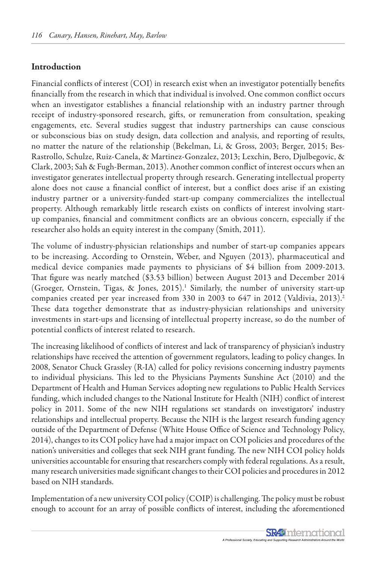#### Introduction

Financial conflicts of interest (COI) in research exist when an investigator potentially benefits financially from the research in which that individual is involved. One common conflict occurs when an investigator establishes a financial relationship with an industry partner through receipt of industry-sponsored research, gifts, or remuneration from consultation, speaking engagements, etc. Several studies suggest that industry partnerships can cause conscious or subconscious bias on study design, data collection and analysis, and reporting of results, no matter the nature of the relationship (Bekelman, Li, & Gross, 2003; Berger, 2015; Bes-Rastrollo, Schulze, Ruiz-Canela, & Martinez-Gonzalez, 2013; Lexchin, Bero, Djulbegovic, & Clark, 2003; Sah & Fugh-Berman, 2013). Another common conflict of interest occurs when an investigator generates intellectual property through research. Generating intellectual property alone does not cause a financial conflict of interest, but a conflict does arise if an existing industry partner or a university-funded start-up company commercializes the intellectual property. Although remarkably little research exists on conflicts of interest involving startup companies, financial and commitment conflicts are an obvious concern, especially if the researcher also holds an equity interest in the company (Smith, 2011).

The volume of industry-physician relationships and number of start-up companies appears to be increasing. According to Ornstein, Weber, and Nguyen (2013), pharmaceutical and medical device companies made payments to physicians of \$4 billion from 2009-2013. That figure was nearly matched (\$3.53 billion) between August 2013 and December 2014 (Groeger, Ornstein, Tigas, & Jones, 2015).<sup>1</sup> Similarly, the number of university start-up companies created per year increased from 330 in 2003 to 647 in 2012 (Valdivia, 2013).<sup>2</sup> These data together demonstrate that as industry-physician relationships and university investments in start-ups and licensing of intellectual property increase, so do the number of potential conflicts of interest related to research.

The increasing likelihood of conflicts of interest and lack of transparency of physician's industry relationships have received the attention of government regulators, leading to policy changes. In 2008, Senator Chuck Grassley (R-IA) called for policy revisions concerning industry payments to individual physicians. This led to the Physicians Payments Sunshine Act (2010) and the Department of Health and Human Services adopting new regulations to Public Health Services funding, which included changes to the National Institute for Health (NIH) conflict of interest policy in 2011. Some of the new NIH regulations set standards on investigators' industry relationships and intellectual property. Because the NIH is the largest research funding agency outside of the Department of Defense (White House Office of Science and Technology Policy, 2014), changes to its COI policy have had a major impact on COI policies and procedures of the nation's universities and colleges that seek NIH grant funding. The new NIH COI policy holds universities accountable for ensuring that researchers comply with federal regulations. As a result, many research universities made significant changes to their COI policies and procedures in 2012 based on NIH standards.

Implementation of a new university COI policy (COIP) is challenging. The policy must be robust enough to account for an array of possible conflicts of interest, including the aforementioned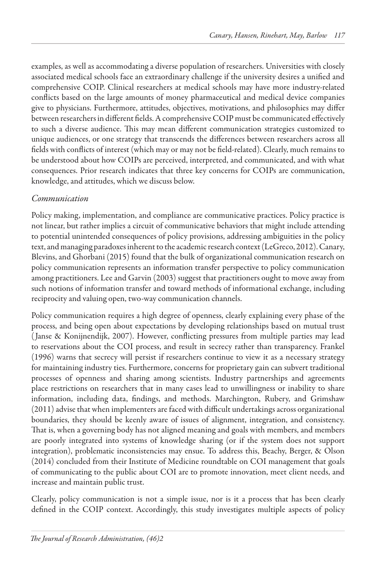examples, as well as accommodating a diverse population of researchers. Universities with closely associated medical schools face an extraordinary challenge if the university desires a unified and comprehensive COIP. Clinical researchers at medical schools may have more industry-related conflicts based on the large amounts of money pharmaceutical and medical device companies give to physicians. Furthermore, attitudes, objectives, motivations, and philosophies may differ between researchers in different fields. A comprehensive COIP must be communicated effectively to such a diverse audience. This may mean different communication strategies customized to unique audiences, or one strategy that transcends the differences between researchers across all fields with conflicts of interest (which may or may not be field-related). Clearly, much remains to be understood about how COIPs are perceived, interpreted, and communicated, and with what consequences. Prior research indicates that three key concerns for COIPs are communication, knowledge, and attitudes, which we discuss below.

## *Communication*

Policy making, implementation, and compliance are communicative practices. Policy practice is not linear, but rather implies a circuit of communicative behaviors that might include attending to potential unintended consequences of policy provisions, addressing ambiguities in the policy text, and managing paradoxes inherent to the academic research context (LeGreco, 2012). Canary, Blevins, and Ghorbani (2015) found that the bulk of organizational communication research on policy communication represents an information transfer perspective to policy communication among practitioners. Lee and Garvin (2003) suggest that practitioners ought to move away from such notions of information transfer and toward methods of informational exchange, including reciprocity and valuing open, two-way communication channels.

Policy communication requires a high degree of openness, clearly explaining every phase of the process, and being open about expectations by developing relationships based on mutual trust ( Janse & Konijnendijk, 2007). However, conflicting pressures from multiple parties may lead to reservations about the COI process, and result in secrecy rather than transparency. Frankel (1996) warns that secrecy will persist if researchers continue to view it as a necessary strategy for maintaining industry ties. Furthermore, concerns for proprietary gain can subvert traditional processes of openness and sharing among scientists. Industry partnerships and agreements place restrictions on researchers that in many cases lead to unwillingness or inability to share information, including data, findings, and methods. Marchington, Rubery, and Grimshaw (2011) advise that when implementers are faced with difficult undertakings across organizational boundaries, they should be keenly aware of issues of alignment, integration, and consistency. That is, when a governing body has not aligned meaning and goals with members, and members are poorly integrated into systems of knowledge sharing (or if the system does not support integration), problematic inconsistencies may ensue. To address this, Beachy, Berger, & Olson (2014) concluded from their Institute of Medicine roundtable on COI management that goals of communicating to the public about COI are to promote innovation, meet client needs, and increase and maintain public trust.

Clearly, policy communication is not a simple issue, nor is it a process that has been clearly defined in the COIP context. Accordingly, this study investigates multiple aspects of policy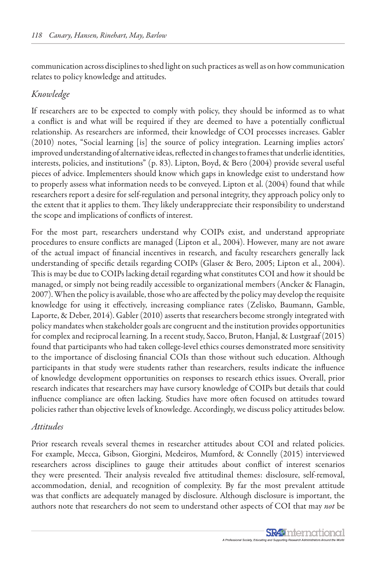communication across disciplines to shed light on such practices as well as on how communication relates to policy knowledge and attitudes.

#### *Knowledge*

If researchers are to be expected to comply with policy, they should be informed as to what a conflict is and what will be required if they are deemed to have a potentially conflictual relationship. As researchers are informed, their knowledge of COI processes increases. Gabler (2010) notes, "Social learning [is] the source of policy integration. Learning implies actors' improved understanding of alternative ideas, reflected in changes to frames that underlie identities, interests, policies, and institutions" (p. 83). Lipton, Boyd, & Bero (2004) provide several useful pieces of advice. Implementers should know which gaps in knowledge exist to understand how to properly assess what information needs to be conveyed. Lipton et al. (2004) found that while researchers report a desire for self-regulation and personal integrity, they approach policy only to the extent that it applies to them. They likely underappreciate their responsibility to understand the scope and implications of conflicts of interest.

For the most part, researchers understand why COIPs exist, and understand appropriate procedures to ensure conflicts are managed (Lipton et al., 2004). However, many are not aware of the actual impact of financial incentives in research, and faculty researchers generally lack understanding of specific details regarding COIPs (Glaser & Bero, 2005; Lipton et al., 2004). This is may be due to COIPs lacking detail regarding what constitutes COI and how it should be managed, or simply not being readily accessible to organizational members (Ancker & Flanagin, 2007). When the policy is available, those who are affected by the policy may develop the requisite knowledge for using it effectively, increasing compliance rates (Zelisko, Baumann, Gamble, Laporte, & Deber, 2014). Gabler (2010) asserts that researchers become strongly integrated with policy mandates when stakeholder goals are congruent and the institution provides opportunities for complex and reciprocal learning. In a recent study, Sacco, Bruton, Hanjal, & Lustgraaf (2015) found that participants who had taken college-level ethics courses demonstrated more sensitivity to the importance of disclosing financial COIs than those without such education. Although participants in that study were students rather than researchers, results indicate the influence of knowledge development opportunities on responses to research ethics issues. Overall, prior research indicates that researchers may have cursory knowledge of COIPs but details that could influence compliance are often lacking. Studies have more often focused on attitudes toward policies rather than objective levels of knowledge. Accordingly, we discuss policy attitudes below.

#### *Attitudes*

Prior research reveals several themes in researcher attitudes about COI and related policies. For example, Mecca, Gibson, Giorgini, Medeiros, Mumford, & Connelly (2015) interviewed researchers across disciplines to gauge their attitudes about conflict of interest scenarios they were presented. Their analysis revealed five attitudinal themes: disclosure, self-removal, accommodation, denial, and recognition of complexity. By far the most prevalent attitude was that conflicts are adequately managed by disclosure. Although disclosure is important, the authors note that researchers do not seem to understand other aspects of COI that may *not* be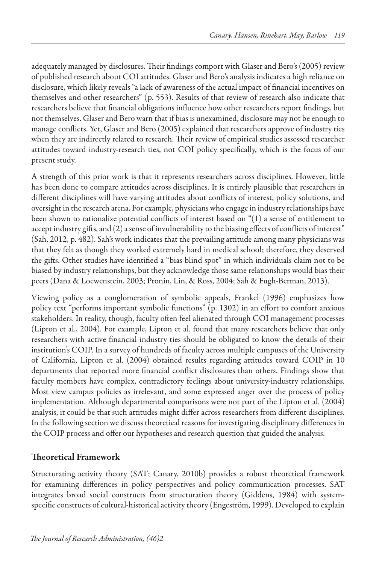adequately managed by disclosures. Their findings comport with Glaser and Bero's (2005) review of published research about COI attitudes. Glaser and Bero's analysis indicates a high reliance on disclosure, which likely reveals "a lack of awareness of the actual impact of financial incentives on themselves and other researchers" (p. 553). Results of that review of research also indicate that researchers believe that financial obligations influence how other researchers report findings, but not themselves. Glaser and Bero warn that if bias is unexamined, disclosure may not be enough to manage conflicts. Yet, Glaser and Bero (2005) explained that researchers approve of industry ties when they are indirectly related to research. Their review of empirical studies assessed researcher attitudes toward industry-research ties, not COI policy specifically, which is the focus of our present study.

A strength of this prior work is that it represents researchers across disciplines. However, little has been done to compare attitudes across disciplines. It is entirely plausible that researchers in different disciplines will have varying attitudes about conflicts of interest, policy solutions, and oversight in the research arena. For example, physicians who engage in industry relationships have been shown to rationalize potential conflicts of interest based on "(1) a sense of entitlement to accept industry gifts, and (2) a sense of invulnerability to the biasing effects of conflicts of interest" (Sah, 2012, p. 482). Sah's work indicates that the prevailing attitude among many physicians was that they felt as though they worked extremely hard in medical school; therefore, they deserved the gifts. Other studies have identified a "bias blind spot" in which individuals claim not to be biased by industry relationships, but they acknowledge those same relationships would bias their peers (Dana & Loewenstein, 2003; Pronin, Lin, & Ross, 2004; Sah & Fugh-Berman, 2013).

Viewing policy as a conglomeration of symbolic appeals, Frankel (1996) emphasizes how policy text "performs important symbolic functions" (p. 1302) in an effort to comfort anxious stakeholders. In reality, though, faculty often feel alienated through COI management processes (Lipton et al., 2004). For example, Lipton et al. found that many researchers believe that only researchers with active financial industry ties should be obligated to know the details of their institution's COIP. In a survey of hundreds of faculty across multiple campuses of the University of California, Lipton et al. (2004) obtained results regarding attitudes toward COIP in 10 departments that reported more financial conflict disclosures than others. Findings show that faculty members have complex, contradictory feelings about university-industry relationships. Most view campus policies as irrelevant, and some expressed anger over the process of policy implementation. Although departmental comparisons were not part of the Lipton et al. (2004) analysis, it could be that such attitudes might differ across researchers from different disciplines. In the following section we discuss theoretical reasons for investigating disciplinary differences in the COIP process and offer our hypotheses and research question that guided the analysis.

## Theoretical Framework

Structurating activity theory (SAT; Canary, 2010b) provides a robust theoretical framework for examining differences in policy perspectives and policy communication processes. SAT integrates broad social constructs from structuration theory (Giddens, 1984) with systemspecific constructs of cultural-historical activity theory (Engeström, 1999). Developed to explain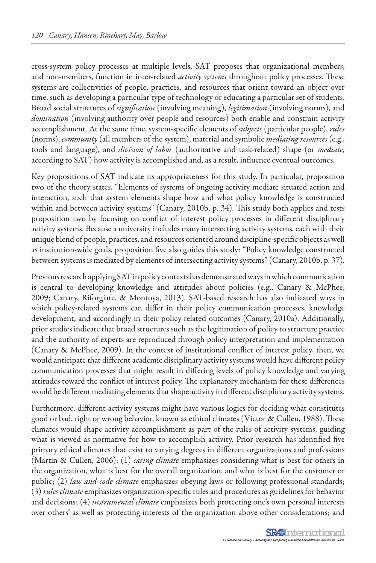cross-system policy processes at multiple levels, SAT proposes that organizational members, and non-members, function in inter-related *activity systems* throughout policy processes. These systems are collectivities of people, practices, and resources that orient toward an object over time, such as developing a particular type of technology or educating a particular set of students. Broad social structures of *signification* (involving meaning), *legitimation* (involving norms), and *domination* (involving authority over people and resources) both enable and constrain activity accomplishment. At the same time, system-specific elements of *subjects* (particular people), *rules*  (norms), *community* (all members of the system), material and symbolic *mediating resources* (e.g., tools and language), and *division of labor* (authoritative and task-related) shape (or *mediate*, according to SAT) how activity is accomplished and, as a result, influence eventual outcomes.

Key propositions of SAT indicate its appropriateness for this study. In particular, proposition two of the theory states, "Elements of systems of ongoing activity mediate situated action and interaction, such that system elements shape how and what policy knowledge is constructed within and between activity systems" (Canary, 2010b, p. 34). This study both applies and tests proposition two by focusing on conflict of interest policy processes in different disciplinary activity systems. Because a university includes many intersecting activity systems, each with their unique blend of people, practices, and resources oriented around discipline-specific objects as well as institution-wide goals, proposition five also guides this study: "Policy knowledge constructed between systems is mediated by elements of intersecting activity systems" (Canary, 2010b, p. 37).

Previous research applying SAT in policy contexts has demonstrated ways in which communication is central to developing knowledge and attitudes about policies (e.g., Canary & McPhee, 2009; Canary, Riforgiate, & Montoya, 2013). SAT-based research has also indicated ways in which policy-related systems can differ in their policy communication processes, knowledge development, and accordingly in their policy-related outcomes (Canary, 2010a). Additionally, prior studies indicate that broad structures such as the legitimation of policy to structure practice and the authority of experts are reproduced through policy interpretation and implementation (Canary & McPhee, 2009). In the context of institutional conflict of interest policy, then, we would anticipate that different academic disciplinary activity systems would have different policy communication processes that might result in differing levels of policy knowledge and varying attitudes toward the conflict of interest policy. The explanatory mechanism for these differences would be different mediating elements that shape activity in different disciplinary activity systems.

Furthermore, different activity systems might have various logics for deciding what constitutes good or bad, right or wrong behavior, known as ethical climates (Victor & Cullen, 1988). These climates would shape activity accomplishment as part of the rules of activity systems, guiding what is viewed as normative for how to accomplish activity. Prior research has identified five primary ethical climates that exist to varying degrees in different organizations and professions (Martin & Cullen, 2006): (1) *caring climate* emphasizes considering what is best for others in the organization, what is best for the overall organization, and what is best for the customer or public; (2) *law and code climate* emphasizes obeying laws or following professional standards; (3) *rules climate* emphasizes organization-specific rules and procedures as guidelines for behavior and decisions; (4) *instrumental climate* emphasizes both protecting one's own personal interests over others' as well as protecting interests of the organization above other considerations; and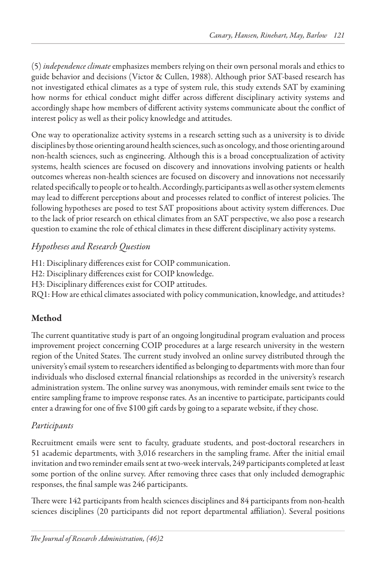(5) *independence climate* emphasizes members relying on their own personal morals and ethics to guide behavior and decisions (Victor & Cullen, 1988). Although prior SAT-based research has not investigated ethical climates as a type of system rule, this study extends SAT by examining how norms for ethical conduct might differ across different disciplinary activity systems and accordingly shape how members of different activity systems communicate about the conflict of interest policy as well as their policy knowledge and attitudes.

One way to operationalize activity systems in a research setting such as a university is to divide disciplines by those orienting around health sciences, such as oncology, and those orienting around non-health sciences, such as engineering. Although this is a broad conceptualization of activity systems, health sciences are focused on discovery and innovations involving patients or health outcomes whereas non-health sciences are focused on discovery and innovations not necessarily related specifically to people or to health. Accordingly, participants as well as other system elements may lead to different perceptions about and processes related to conflict of interest policies. The following hypotheses are posed to test SAT propositions about activity system differences. Due to the lack of prior research on ethical climates from an SAT perspective, we also pose a research question to examine the role of ethical climates in these different disciplinary activity systems.

## *Hypotheses and Research Question*

H1: Disciplinary differences exist for COIP communication.

H2: Disciplinary differences exist for COIP knowledge.

H3: Disciplinary differences exist for COIP attitudes.

RQ1: How are ethical climates associated with policy communication, knowledge, and attitudes?

## Method

The current quantitative study is part of an ongoing longitudinal program evaluation and process improvement project concerning COIP procedures at a large research university in the western region of the United States. The current study involved an online survey distributed through the university's email system to researchers identified as belonging to departments with more than four individuals who disclosed external financial relationships as recorded in the university's research administration system. The online survey was anonymous, with reminder emails sent twice to the entire sampling frame to improve response rates. As an incentive to participate, participants could enter a drawing for one of five \$100 gift cards by going to a separate website, if they chose.

## *Participants*

Recruitment emails were sent to faculty, graduate students, and post-doctoral researchers in 51 academic departments, with 3,016 researchers in the sampling frame. After the initial email invitation and two reminder emails sent at two-week intervals, 249 participants completed at least some portion of the online survey. After removing three cases that only included demographic responses, the final sample was 246 participants.

There were 142 participants from health sciences disciplines and 84 participants from non-health sciences disciplines (20 participants did not report departmental affiliation). Several positions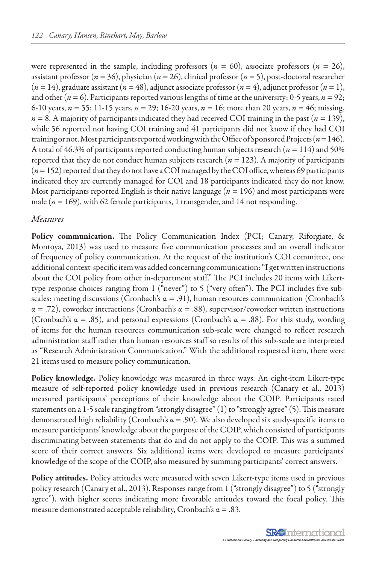were represented in the sample, including professors ( $n = 60$ ), associate professors ( $n = 26$ ), assistant professor (*n* = 36), physician (*n* = 26), clinical professor (*n* = 5), post-doctoral researcher  $(n = 14)$ , graduate assistant  $(n = 48)$ , adjunct associate professor  $(n = 4)$ , adjunct professor  $(n = 1)$ , and other ( $n = 6$ ). Participants reported various lengths of time at the university: 0-5 years,  $n = 92$ ; 6-10 years, *n* = 55; 11-15 years, *n* = 29; 16-20 years, *n* = 16; more than 20 years, *n* = 46; missing,  $n = 8$ . A majority of participants indicated they had received COI training in the past ( $n = 139$ ), while 56 reported not having COI training and 41 participants did not know if they had COI training or not. Most participants reported working with the Office of Sponsored Projects (*n* = 146). A total of 46.3% of participants reported conducting human subjects research  $(n = 114)$  and 50% reported that they do not conduct human subjects research (*n* = 123). A majority of participants (*n* = 152) reported that they do not have a COI managed by the COI office, whereas 69 participants indicated they are currently managed for COI and 18 participants indicated they do not know. Most participants reported English is their native language ( $n = 196$ ) and most participants were male (*n* = 169), with 62 female participants, 1 transgender, and 14 not responding.

#### *Measures*

Policy communication. The Policy Communication Index (PCI; Canary, Riforgiate, & Montoya, 2013) was used to measure five communication processes and an overall indicator of frequency of policy communication. At the request of the institution's COI committee, one additional context-specific item was added concerning communication: "I get written instructions about the COI policy from other in-department staff." The PCI includes 20 items with Likerttype response choices ranging from 1 ("never") to 5 ("very often"). The PCI includes five subscales: meeting discussions (Cronbach's  $\alpha = .91$ ), human resources communication (Cronbach's  $\alpha = .72$ ), coworker interactions (Cronbach's  $\alpha = .88$ ), supervisor/coworker written instructions (Cronbach's  $\alpha = .85$ ), and personal expressions (Cronbach's  $\alpha = .88$ ). For this study, wording of items for the human resources communication sub-scale were changed to reflect research administration staff rather than human resources staff so results of this sub-scale are interpreted as "Research Administration Communication." With the additional requested item, there were 21 items used to measure policy communication.

Policy knowledge. Policy knowledge was measured in three ways. An eight-item Likert-type measure of self-reported policy knowledge used in previous research (Canary et al., 2013) measured participants' perceptions of their knowledge about the COIP. Participants rated statements on a 1-5 scale ranging from "strongly disagree" (1) to "strongly agree" (5). This measure demonstrated high reliability (Cronbach's  $\alpha$  = .90). We also developed six study-specific items to measure participants' knowledge about the purpose of the COIP, which consisted of participants discriminating between statements that do and do not apply to the COIP. This was a summed score of their correct answers. Six additional items were developed to measure participants' knowledge of the scope of the COIP, also measured by summing participants' correct answers.

Policy attitudes. Policy attitudes were measured with seven Likert-type items used in previous policy research (Canary et al., 2013). Responses range from 1 ("strongly disagree") to 5 ("strongly agree"), with higher scores indicating more favorable attitudes toward the focal policy. This measure demonstrated acceptable reliability, Cronbach's  $\alpha = .83$ .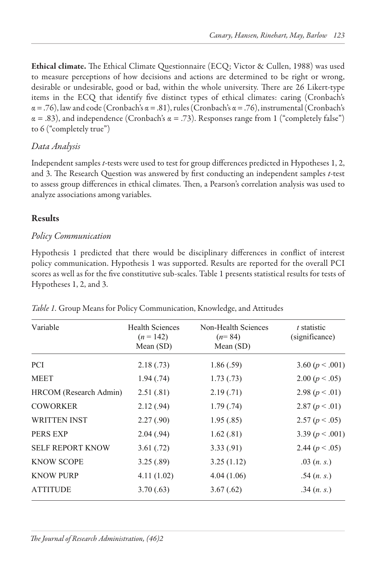Ethical climate. The Ethical Climate Questionnaire (ECQ; Victor & Cullen, 1988) was used to measure perceptions of how decisions and actions are determined to be right or wrong, desirable or undesirable, good or bad, within the whole university. There are 26 Likert-type items in the ECQ that identify five distinct types of ethical climates: caring (Cronbach's  $\alpha = .76$ ), law and code (Cronbach's  $\alpha = .81$ ), rules (Cronbach's  $\alpha = .76$ ), instrumental (Cronbach's  $\alpha = .83$ ), and independence (Cronbach's  $\alpha = .73$ ). Responses range from 1 ("completely false") to 6 ("completely true")

## *Data Analysis*

Independent samples *t*-tests were used to test for group differences predicted in Hypotheses 1, 2, and 3. The Research Question was answered by first conducting an independent samples *t*-test to assess group differences in ethical climates. Then, a Pearson's correlation analysis was used to analyze associations among variables.

## Results

## *Policy Communication*

Hypothesis 1 predicted that there would be disciplinary differences in conflict of interest policy communication. Hypothesis 1 was supported. Results are reported for the overall PCI scores as well as for the five constitutive sub-scales. Table 1 presents statistical results for tests of Hypotheses 1, 2, and 3. *Table 1*

| Variable                | <b>Health Sciences</b> | Non-Health Sciences | t statistic         |  |  |
|-------------------------|------------------------|---------------------|---------------------|--|--|
|                         | $(n = 142)$            | $(n=84)$            | (significance)      |  |  |
|                         | Mean $(SD)$            | Mean $(SD)$         |                     |  |  |
| PCI                     | 2.18(.73)              | 1.86(.59)           | 3.60 $(p < .001)$   |  |  |
| <b>MEET</b>             | 1.94(0.74)             | 1.73(0.73)          | 2.00 $(p < .05)$    |  |  |
| HRCOM (Research Admin)  | 2.51(.81)              | 2.19(0.71)          | 2.98 $(p < .01)$    |  |  |
| <b>COWORKER</b>         | 2.12(.94)              | 1.79(0.74)          | 2.87 $(p < .01)$    |  |  |
| <b>WRITTEN INST</b>     | 2.27(.90)              | 1.95(.85)           | 2.57 $(p < .05)$    |  |  |
| <b>PERS EXP</b>         | 2.04(.94)              | 1.62(.81)           | 3.39 ( $p < .001$ ) |  |  |
| <b>SELF REPORT KNOW</b> | 3.61(.72)              | 3.33(.91)           | 2.44 $(p < .05)$    |  |  |
| <b>KNOW SCOPE</b>       | 3.25(.89)              | 3.25(1.12)          | .03 $(n. s.)$       |  |  |
| <b>KNOW PURP</b>        | 4.11(1.02)             | 4.04 (1.06)         | .54 $(n, s)$        |  |  |
| <b>ATTITUDE</b>         | 3.70(.63)              | 3.67(.62)           | .34 $(n, s)$        |  |  |
|                         |                        |                     |                     |  |  |

 $\overline{\phantom{a}}$  , and the set of the set of the set of the set of the set of the set of the set of the set of the set of the set of the set of the set of the set of the set of the set of the set of the set of the set of the s

*Table 1.* Group Means for Policy Communication, Knowledge, and Attitudes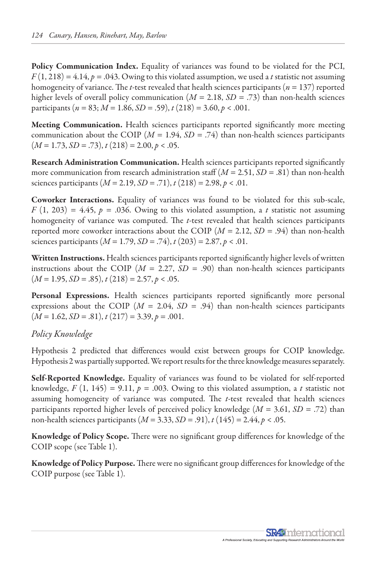Policy Communication Index. Equality of variances was found to be violated for the PCI,  $F(1, 218) = 4.14$ ,  $p = .043$ . Owing to this violated assumption, we used a *t* statistic not assuming homogeneity of variance. The *t*-test revealed that health sciences participants (*n* = 137) reported higher levels of overall policy communication (*M* = 2.18, *SD* = .73) than non-health sciences participants (*n* = 83; *M* = 1.86, *SD* = .59), *t* (218) = 3.60, *p* < .001.

Meeting Communication. Health sciences participants reported significantly more meeting communication about the COIP ( $M = 1.94$ ,  $SD = .74$ ) than non-health sciences participants  $(M = 1.73, SD = .73), t(218) = 2.00, p < .05.$ 

Research Administration Communication. Health sciences participants reported significantly more communication from research administration staff  $(M = 2.51, SD = .81)$  than non-health sciences participants  $(M = 2.19, SD = .71)$ ,  $t(218) = 2.98, p < .01$ .

Coworker Interactions. Equality of variances was found to be violated for this sub-scale,  $F(1, 203) = 4.45$ ,  $p = .036$ . Owing to this violated assumption, a *t* statistic not assuming homogeneity of variance was computed. The *t*-test revealed that health sciences participants reported more coworker interactions about the COIP (*M* = 2.12, *SD* = .94) than non-health sciences participants  $(M = 1.79, SD = .74)$ ,  $t(203) = 2.87, p < .01$ .

Written Instructions. Health sciences participants reported significantly higher levels of written instructions about the COIP ( $M = 2.27$ ,  $SD = .90$ ) than non-health sciences participants  $(M = 1.95, SD = .85), t(218) = 2.57, p < .05.$ 

Personal Expressions. Health sciences participants reported significantly more personal expressions about the COIP  $(M = 2.04, SD = .94)$  than non-health sciences participants  $(M = 1.62, SD = .81), t(217) = 3.39, p = .001.$ 

### *Policy Knowledge*

Hypothesis 2 predicted that differences would exist between groups for COIP knowledge. Hypothesis 2 was partially supported. We report results for the three knowledge measures separately.

Self-Reported Knowledge. Equality of variances was found to be violated for self-reported knowledge,  $F(1, 145) = 9.11$ ,  $p = .003$ . Owing to this violated assumption, a *t* statistic not assuming homogeneity of variance was computed. The *t*-test revealed that health sciences participants reported higher levels of perceived policy knowledge (*M* = 3.61, *SD* = .72) than non-health sciences participants (*M* = 3.33, *SD* = .91), *t* (145) = 2.44, *p* < .05.

Knowledge of Policy Scope. There were no significant group differences for knowledge of the COIP scope (see Table 1).

Knowledge of Policy Purpose. There were no significant group differences for knowledge of the COIP purpose (see Table 1).

> **SR49** nternational A Professional Society, Educating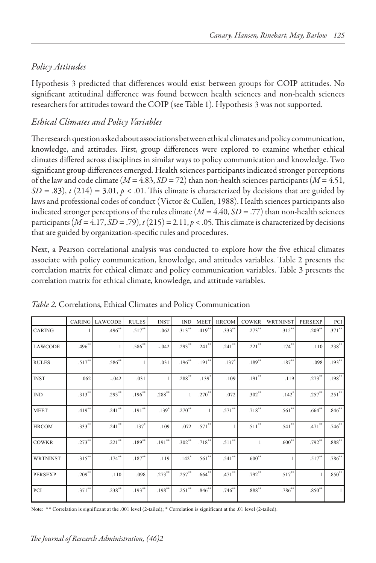## *Policy Attitudes*

Hypothesis 3 predicted that differences would exist between groups for COIP attitudes. No significant attitudinal difference was found between health sciences and non-health sciences researchers for attitudes toward the COIP (see Table 1). Hypothesis 3 was not supported.

## *Ethical Climates and Policy Variables*

The research question asked about associations between ethical climates and policy communication, knowledge, and attitudes. First, group differences were explored to examine whether ethical climates differed across disciplines in similar ways to policy communication and knowledge. Two significant group differences emerged. Health sciences participants indicated stronger perceptions of the law and code climate  $(M = 4.83, SD = 72)$  than non-health sciences participants  $(M = 4.51,$  $SD = .83$ ),  $t(214) = 3.01$ ,  $p < .01$ . This climate is characterized by decisions that are guided by laws and professional codes of conduct (Victor & Cullen, 1988). Health sciences participants also indicated stronger perceptions of the rules climate  $(M = 4.40, SD = .77)$  than non-health sciences participants  $(M = 4.17, SD = .79)$ ,  $t(215) = 2.11$ ,  $p < .05$ . This climate is characterized by decisions that are guided by organization-specific rules and procedures.

Next, a Pearson correlational analysis was conducted to explore how the five ethical climates associate with policy communication, knowledge, and attitudes variables. Table 2 presents the correlation matrix for ethical climate and policy communication variables. Table 3 presents the correlation matrix for ethical climate, knowledge, and attitude variables.

|                 |           | <b>CARING LAWCODE</b> | <b>RULES</b>        | <b>INST</b>  | <b>IND</b> | <b>MEET</b> | <b>HRCOM</b> | COWKR          | <b>WRTNINST</b>      | <b>PERSEXP</b> | PCI                  |
|-----------------|-----------|-----------------------|---------------------|--------------|------------|-------------|--------------|----------------|----------------------|----------------|----------------------|
| CARING          |           | $.496**$              | $.517^{**}$         | .062         | $.313***$  | $.419**$    | $.333**$     | $.273***$      | $.315***$            | $.209**$       | $.371***$            |
| LAWCODE         | $.496***$ |                       | $.586^{**}$         | $-.042$      | $.293**$   | $.241***$   | $.241$ **    | $.221***$      | $.174***$            | .110           | $.238**$             |
| <b>RULES</b>    | $.517***$ | $.586**$              |                     | .031         | $.196**$   | $.191**$    | $.137*$      | $.189**$       | $.187***$            | .098           | $.193***$            |
| <b>INST</b>     | .062      | $-.042$               | .031                | $\mathbf{1}$ | $.288***$  | $.139*$     | .109         | $.191***$      | .119                 | $.273***$      | $.198***$            |
| $\mathbf{IND}$  | $.313***$ | $.293**$              | $.196^{**}$         | $.288***$    |            | $.270^{**}$ | .072         | $.302$ **      | $.142$ <sup>*</sup>  | $.257***$      | $.251$ <sup>**</sup> |
| <b>MEET</b>     | $.419***$ | $.241$ **             | $.191**$            | $.139*$      | $.270***$  |             | $.571$ **    | $.718***$      | $.561$ **            | $.664***$      | $.846^{**}$          |
| <b>HRCOM</b>    | $.333***$ | $.241$ **             | $.137$ <sup>*</sup> | .109         | .072       | $.571***$   | 1            | $.511***$      | $.541$ <sup>**</sup> | $.471$ **      | $.746^{**}$          |
| <b>COWKR</b>    | $.273$ ** | $.221$ **             | $.189***$           | $.191$ **    | $.302$ **  | $.718***$   | $.511***$    | $\overline{1}$ | $.600**$             | $.792**$       | $.888***$            |
| <b>WRTNINST</b> | $.315***$ | $.174***$             | $.187***$           | .119         | $.142*$    | $.561$ **   | $.541**$     | $.600**$       |                      | $.517**$       | $.786^{**}$          |
| <b>PERSEXP</b>  | $.209***$ | .110                  | .098                | $.273$ **    | $.257***$  | $.664**$    | $.471$ **    | $.792**$       | $.517***$            |                | $.850***$            |
| PCI             | $.371***$ | $.238***$             | $.193**$            | $.198**$     | $.251$ **  | .846"       | $.746**$     | $.888***$      | $.786^{**}$          | $.850**$       | $\mathbf{1}$         |

*Table 2.* Correlations, Ethical Climates and Policy Communication *Table 2 Correlations, Ethical Climates and Policy Communication*

Note: \*\* Correlation is significant at the .001 level (2-tailed); \* Correlation is significant at the .01 level (2-tailed).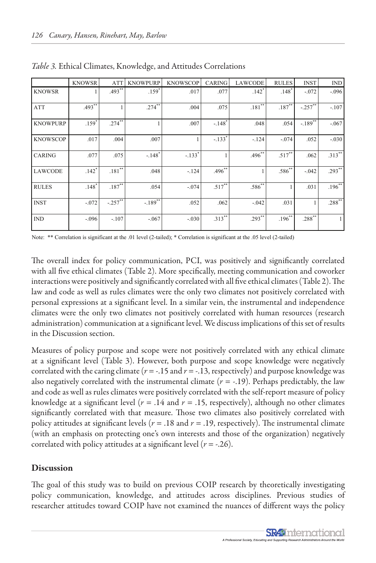|                 | <b>KNOWSR</b>       | <b>ATT</b> | <b>KNOWPURP</b>      | <b>KNOWSCOP</b> | <b>CARING</b>        | <b>LAWCODE</b> | <b>RULES</b>         | <b>INST</b> | <b>IND</b> |
|-----------------|---------------------|------------|----------------------|-----------------|----------------------|----------------|----------------------|-------------|------------|
| <b>KNOWSR</b>   |                     | $.493**$   | $.159*$              | .017            | .077                 | $.142*$        | $.148^{*}$           | $-.072$     | $-.096$    |
| <b>ATT</b>      | $.493**$            |            | $.274***$            | .004            | .075                 | $.181***$      | $187^{**}$           | $-257$ **   | $-.107$    |
| <b>KNOWPURP</b> | $.159*$             | $.274$ **  |                      | .007            | $-.148$ <sup>*</sup> | .048           | .054                 | $-189^{**}$ | $-.067$    |
| <b>KNOWSCOP</b> | .017                | .004       | .007                 |                 | $-.133*$             | $-124$         | $-.074$              | .052        | $-.030$    |
| <b>CARING</b>   | .077                | .075       | $-.148$ <sup>*</sup> | $-.133*$        |                      | $.496^{**}$    | $.517$ <sup>**</sup> | .062        | $.313***$  |
| <b>LAWCODE</b>  | $.142$ <sup>*</sup> | $.181***$  | .048                 | $-124$          | $.496$ **            |                | $.586***$            | $-.042$     | $.293***$  |
| <b>RULES</b>    | $.148*$             | $.187**$   | .054                 | $-.074$         | $.517**$             | $.586^{**}$    |                      | .031        | $.196***$  |
| <b>INST</b>     | $-.072$             | $-257$     | $-189^{**}$          | .052            | .062                 | $-.042$        | .031                 |             | $.288***$  |
| <b>IND</b>      | $-.096$             | $-.107$    | $-.067$              | $-.030$         | $.313***$            | $.293**$       | $.196***$            | $.288***$   | 1          |

*Table 3.* Ethical Climates, Knowledge, and Attitudes Correlations *Table 3 Ethical Climates, Knowledge, and Attitudes Correlations*

Note: \*\* Correlation is significant at the .01 level (2-tailed); \* Correlation is significant at the .05 level (2-tailed)

The overall index for policy communication, PCI, was positively and significantly correlated with all five ethical climates (Table 2). More specifically, meeting communication and coworker interactions were positively and significantly correlated with all five ethical climates (Table 2). The law and code as well as rules climates were the only two climates not positively correlated with personal expressions at a significant level. In a similar vein, the instrumental and independence climates were the only two climates not positively correlated with human resources (research administration) communication at a significant level. We discuss implications of this set of results in the Discussion section.

Measures of policy purpose and scope were not positively correlated with any ethical climate at a significant level (Table 3). However, both purpose and scope knowledge were negatively correlated with the caring climate ( $r = -.15$  and  $r = -.13$ , respectively) and purpose knowledge was also negatively correlated with the instrumental climate  $(r = -19)$ . Perhaps predictably, the law and code as well as rules climates were positively correlated with the self-report measure of policy knowledge at a significant level  $(r = .14$  and  $r = .15$ , respectively), although no other climates significantly correlated with that measure. Those two climates also positively correlated with policy attitudes at significant levels ( $r = .18$  and  $r = .19$ , respectively). The instrumental climate (with an emphasis on protecting one's own interests and those of the organization) negatively correlated with policy attitudes at a significant level (*r* = -.26).

#### Discussion

The goal of this study was to build on previous COIP research by theoretically investigating policy communication, knowledge, and attitudes across disciplines. Previous studies of researcher attitudes toward COIP have not examined the nuances of different ways the policy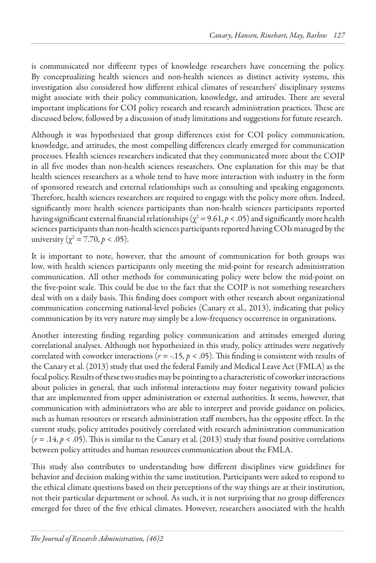is communicated nor different types of knowledge researchers have concerning the policy. By conceptualizing health sciences and non-health sciences as distinct activity systems, this investigation also considered how different ethical climates of researchers' disciplinary systems might associate with their policy communication, knowledge, and attitudes. There are several important implications for COI policy research and research administration practices. These are discussed below, followed by a discussion of study limitations and suggestions for future research.

Although it was hypothesized that group differences exist for COI policy communication, knowledge, and attitudes, the most compelling differences clearly emerged for communication processes. Health sciences researchers indicated that they communicated more about the COIP in all five modes than non-health sciences researchers. One explanation for this may be that health sciences researchers as a whole tend to have more interaction with industry in the form of sponsored research and external relationships such as consulting and speaking engagements. Therefore, health sciences researchers are required to engage with the policy more often. Indeed, significantly more health sciences participants than non-health sciences participants reported having significant external financial relationships ( $\chi^2$  = 9.61,  $p$  < .05) and significantly more health sciences participants than non-health sciences participants reported having COIs managed by the university ( $\chi^2$  = 7.70, *p* < .05).

It is important to note, however, that the amount of communication for both groups was low, with health sciences participants only meeting the mid-point for research administration communication. All other methods for communicating policy were below the mid-point on the five-point scale. This could be due to the fact that the COIP is not something researchers deal with on a daily basis. This finding does comport with other research about organizational communication concerning national-level policies (Canary et al., 2013), indicating that policy communication by its very nature may simply be a low-frequency occurrence in organizations.

Another interesting finding regarding policy communication and attitudes emerged during correlational analyses. Although not hypothesized in this study, policy attitudes were negatively correlated with coworker interactions (*r* = -.15, *p* < .05). This finding is consistent with results of the Canary et al. (2013) study that used the federal Family and Medical Leave Act (FMLA) as the focal policy. Results of these two studies may be pointing to a characteristic of coworker interactions about policies in general, that such informal interactions may foster negativity toward policies that are implemented from upper administration or external authorities. It seems, however, that communication with administrators who are able to interpret and provide guidance on policies, such as human resources or research administration staff members, has the opposite effect. In the current study, policy attitudes positively correlated with research administration communication  $(r = .14, p < .05)$ . This is similar to the Canary et al. (2013) study that found positive correlations between policy attitudes and human resources communication about the FMLA.

This study also contributes to understanding how different disciplines view guidelines for behavior and decision making within the same institution. Participants were asked to respond to the ethical climate questions based on their perceptions of the way things are at their institution, not their particular department or school. As such, it is not surprising that no group differences emerged for three of the five ethical climates. However, researchers associated with the health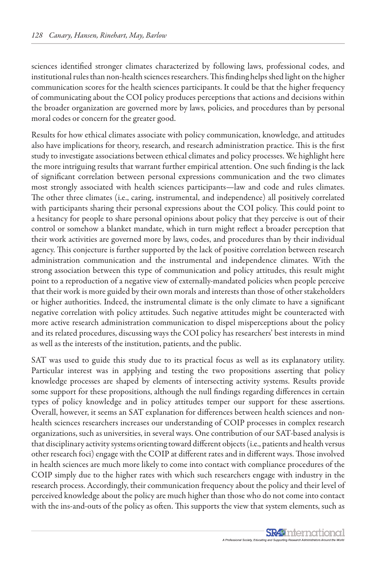sciences identified stronger climates characterized by following laws, professional codes, and institutional rules than non-health sciences researchers. This finding helps shed light on the higher communication scores for the health sciences participants. It could be that the higher frequency of communicating about the COI policy produces perceptions that actions and decisions within the broader organization are governed more by laws, policies, and procedures than by personal moral codes or concern for the greater good.

Results for how ethical climates associate with policy communication, knowledge, and attitudes also have implications for theory, research, and research administration practice. This is the first study to investigate associations between ethical climates and policy processes. We highlight here the more intriguing results that warrant further empirical attention. One such finding is the lack of significant correlation between personal expressions communication and the two climates most strongly associated with health sciences participants—law and code and rules climates. The other three climates (i.e., caring, instrumental, and independence) all positively correlated with participants sharing their personal expressions about the COI policy. This could point to a hesitancy for people to share personal opinions about policy that they perceive is out of their control or somehow a blanket mandate, which in turn might reflect a broader perception that their work activities are governed more by laws, codes, and procedures than by their individual agency. This conjecture is further supported by the lack of positive correlation between research administration communication and the instrumental and independence climates. With the strong association between this type of communication and policy attitudes, this result might point to a reproduction of a negative view of externally-mandated policies when people perceive that their work is more guided by their own morals and interests than those of other stakeholders or higher authorities. Indeed, the instrumental climate is the only climate to have a significant negative correlation with policy attitudes. Such negative attitudes might be counteracted with more active research administration communication to dispel misperceptions about the policy and its related procedures, discussing ways the COI policy has researchers' best interests in mind as well as the interests of the institution, patients, and the public.

SAT was used to guide this study due to its practical focus as well as its explanatory utility. Particular interest was in applying and testing the two propositions asserting that policy knowledge processes are shaped by elements of intersecting activity systems. Results provide some support for these propositions, although the null findings regarding differences in certain types of policy knowledge and in policy attitudes temper our support for these assertions. Overall, however, it seems an SAT explanation for differences between health sciences and nonhealth sciences researchers increases our understanding of COIP processes in complex research organizations, such as universities, in several ways. One contribution of our SAT-based analysis is that disciplinary activity systems orienting toward different objects (i.e., patients and health versus other research foci) engage with the COIP at different rates and in different ways. Those involved in health sciences are much more likely to come into contact with compliance procedures of the COIP simply due to the higher rates with which such researchers engage with industry in the research process. Accordingly, their communication frequency about the policy and their level of perceived knowledge about the policy are much higher than those who do not come into contact with the ins-and-outs of the policy as often. This supports the view that system elements, such as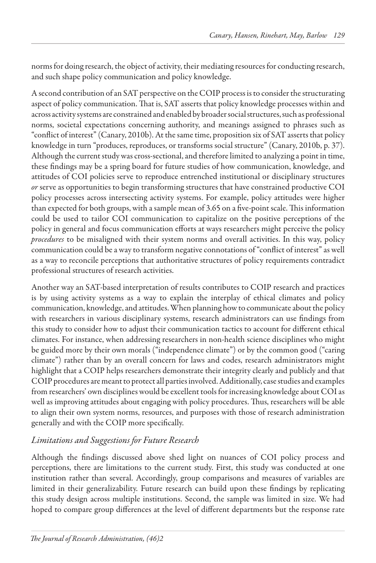norms for doing research, the object of activity, their mediating resources for conducting research, and such shape policy communication and policy knowledge.

A second contribution of an SAT perspective on the COIP process is to consider the structurating aspect of policy communication. That is, SAT asserts that policy knowledge processes within and across activity systems are constrained and enabled by broader social structures, such as professional norms, societal expectations concerning authority, and meanings assigned to phrases such as "conflict of interest" (Canary, 2010b). At the same time, proposition six of SAT asserts that policy knowledge in turn "produces, reproduces, or transforms social structure" (Canary, 2010b, p. 37). Although the current study was cross-sectional, and therefore limited to analyzing a point in time, these findings may be a spring board for future studies of how communication, knowledge, and attitudes of COI policies serve to reproduce entrenched institutional or disciplinary structures *or* serve as opportunities to begin transforming structures that have constrained productive COI policy processes across intersecting activity systems. For example, policy attitudes were higher than expected for both groups, with a sample mean of 3.65 on a five-point scale. This information could be used to tailor COI communication to capitalize on the positive perceptions of the policy in general and focus communication efforts at ways researchers might perceive the policy *procedures* to be misaligned with their system norms and overall activities. In this way, policy communication could be a way to transform negative connotations of "conflict of interest" as well as a way to reconcile perceptions that authoritative structures of policy requirements contradict professional structures of research activities.

Another way an SAT-based interpretation of results contributes to COIP research and practices is by using activity systems as a way to explain the interplay of ethical climates and policy communication, knowledge, and attitudes. When planning how to communicate about the policy with researchers in various disciplinary systems, research administrators can use findings from this study to consider how to adjust their communication tactics to account for different ethical climates. For instance, when addressing researchers in non-health science disciplines who might be guided more by their own morals ("independence climate") or by the common good ("caring climate") rather than by an overall concern for laws and codes, research administrators might highlight that a COIP helps researchers demonstrate their integrity clearly and publicly and that COIP procedures are meant to protect all parties involved. Additionally, case studies and examples from researchers' own disciplines would be excellent tools for increasing knowledge about COI as well as improving attitudes about engaging with policy procedures. Thus, researchers will be able to align their own system norms, resources, and purposes with those of research administration generally and with the COIP more specifically.

### *Limitations and Suggestions for Future Research*

Although the findings discussed above shed light on nuances of COI policy process and perceptions, there are limitations to the current study. First, this study was conducted at one institution rather than several. Accordingly, group comparisons and measures of variables are limited in their generalizability. Future research can build upon these findings by replicating this study design across multiple institutions. Second, the sample was limited in size. We had hoped to compare group differences at the level of different departments but the response rate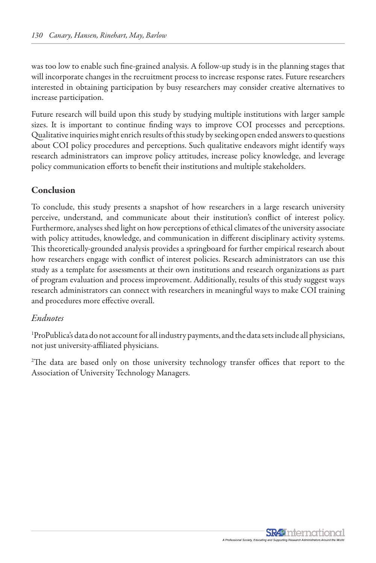was too low to enable such fine-grained analysis. A follow-up study is in the planning stages that will incorporate changes in the recruitment process to increase response rates. Future researchers interested in obtaining participation by busy researchers may consider creative alternatives to increase participation.

Future research will build upon this study by studying multiple institutions with larger sample sizes. It is important to continue finding ways to improve COI processes and perceptions. Qualitative inquiries might enrich results of this study by seeking open ended answers to questions about COI policy procedures and perceptions. Such qualitative endeavors might identify ways research administrators can improve policy attitudes, increase policy knowledge, and leverage policy communication efforts to benefit their institutions and multiple stakeholders.

#### Conclusion

To conclude, this study presents a snapshot of how researchers in a large research university perceive, understand, and communicate about their institution's conflict of interest policy. Furthermore, analyses shed light on how perceptions of ethical climates of the university associate with policy attitudes, knowledge, and communication in different disciplinary activity systems. This theoretically-grounded analysis provides a springboard for further empirical research about how researchers engage with conflict of interest policies. Research administrators can use this study as a template for assessments at their own institutions and research organizations as part of program evaluation and process improvement. Additionally, results of this study suggest ways research administrators can connect with researchers in meaningful ways to make COI training and procedures more effective overall.

#### *Endnotes*

1 ProPublica's data do not account for all industry payments, and the data sets include all physicians, not just university-affiliated physicians.

2 The data are based only on those university technology transfer offices that report to the Association of University Technology Managers.

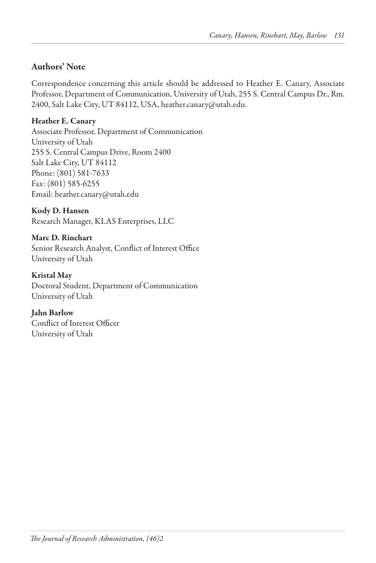#### Authors' Note

Correspondence concerning this article should be addressed to Heather E. Canary, Associate Professor, Department of Communication, University of Utah, 255 S. Central Campus Dr., Rm. 2400, Salt Lake City, UT 84112, USA, heather.canary@utah.edu.

Heather E. Canary

Associate Professor, Department of Communication University of Utah 255 S. Central Campus Drive, Room 2400 Salt Lake City, UT 84112 Phone: (801) 581-7633 Fax: (801) 585-6255 Email: heather.canary@utah.edu

Kody D. Hansen Research Manager, KLAS Enterprises, LLC

Marc D. Rinehart Senior Research Analyst, Conflict of Interest Office University of Utah

Kristal May Doctoral Student, Department of Communication University of Utah

Jahn Barlow Conflict of Interest Officer University of Utah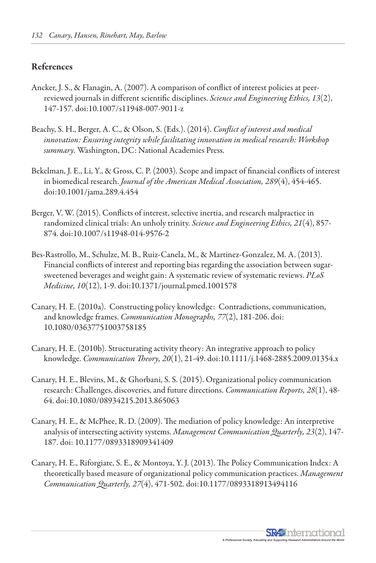#### References

- Ancker, J. S., & Flanagin, A. (2007). A comparison of conflict of interest policies at peerreviewed journals in different scientific disciplines. *Science and Engineering Ethics, 13*(2), 147-157. doi:10.1007/s11948-007-9011-z
- Beachy, S. H., Berger, A. C., & Olson, S. (Eds.). (2014). *Conflict of interest and medical innovation: Ensuring integrity while facilitating innovation in medical research: Workshop summary.* Washington, DC: National Academies Press.
- Bekelman, J. E., Li, Y., & Gross, C. P. (2003). Scope and impact of financial conflicts of interest in biomedical research. *Journal of the American Medical Association, 289*(4), 454-465. doi:10.1001/jama.289.4.454
- Berger, V. W. (2015). Conflicts of interest, selective inertia, and research malpractice in randomized clinical trials: An unholy trinity. *Science and Engineering Ethics, 21*(4), 857- 874. doi:10.1007/s11948-014-9576-2
- Bes-Rastrollo, M., Schulze, M. B., Ruiz-Canela, M., & Martinez-Gonzalez, M. A. (2013). Financial conflicts of interest and reporting bias regarding the association between sugarsweetened beverages and weight gain: A systematic review of systematic reviews. *PLoS Medicine, 10*(12), 1-9. doi:10.1371/journal.pmed.1001578
- Canary, H. E. (2010a). Constructing policy knowledge: Contradictions, communication, and knowledge frames. *Communication Monographs, 77*(2), 181-206. doi: 10.1080/03637751003758185
- Canary, H. E. (2010b). Structurating activity theory: An integrative approach to policy knowledge. *Communication Theory, 20*(1), 21-49. doi:10.1111/j.1468-2885.2009.01354.x
- Canary, H. E., Blevins, M., & Ghorbani, S. S. (2015). Organizational policy communication research: Challenges, discoveries, and future directions. *Communication Reports, 28*(1), 48- 64. doi:10.1080/08934215.2013.865063
- Canary, H. E., & McPhee, R. D. (2009). The mediation of policy knowledge: An interpretive analysis of intersecting activity systems. *Management Communication Quarterly, 23*(2), 147- 187. doi: 10.1177/0893318909341409
- Canary, H. E., Riforgiate, S. E., & Montoya, Y. J. (2013). The Policy Communication Index: A theoretically based measure of organizational policy communication practices. *Management Communication Quarterly, 27*(4), 471-502. doi:10.1177/0893318913494116

**SR49** nternational A Professional Society, Educatin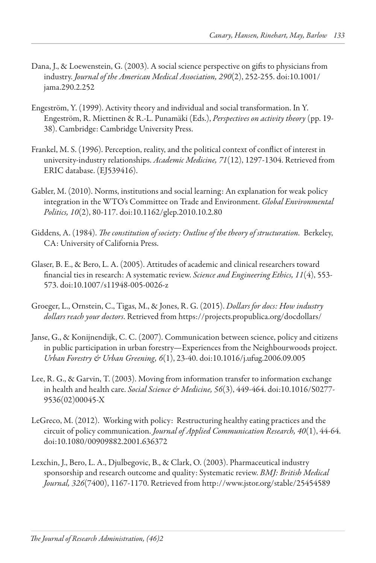- Dana, J., & Loewenstein, G. (2003). A social science perspective on gifts to physicians from industry. *Journal of the American Medical Association, 290*(2), 252-255. doi:10.1001/ jama.290.2.252
- Engeström, Y. (1999). Activity theory and individual and social transformation. In Y. Engeström, R. Miettinen & R.-L. Punamäki (Eds.), *Perspectives on activity theory* (pp. 19- 38). Cambridge: Cambridge University Press.
- Frankel, M. S. (1996). Perception, reality, and the political context of conflict of interest in university-industry relationships. *Academic Medicine, 71*(12), 1297-1304. Retrieved from ERIC database. (EJ539416).
- Gabler, M. (2010). Norms, institutions and social learning: An explanation for weak policy integration in the WTO's Committee on Trade and Environment. *Global Environmental Politics, 10*(2), 80-117. doi:10.1162/glep.2010.10.2.80
- Giddens, A. (1984). *The constitution of society: Outline of the theory of structuration.* Berkeley, CA: University of California Press.
- Glaser, B. E., & Bero, L. A. (2005). Attitudes of academic and clinical researchers toward financial ties in research: A systematic review. *Science and Engineering Ethics, 11*(4), 553- 573. doi:10.1007/s11948-005-0026-z
- Groeger, L., Ornstein, C., Tigas, M., & Jones, R. G. (2015). *Dollars for docs: How industry dollars reach your doctors*. Retrieved from https://projects.propublica.org/docdollars/
- Janse, G., & Konijnendijk, C. C. (2007). Communication between science, policy and citizens in public participation in urban forestry—Experiences from the Neighbourwoods project. *Urban Forestry & Urban Greening, 6*(1), 23-40. doi:10.1016/j.ufug.2006.09.005
- Lee, R. G., & Garvin, T. (2003). Moving from information transfer to information exchange in health and health care. *Social Science & Medicine, 56*(3), 449-464. doi:10.1016/S0277- 9536(02)00045-X
- LeGreco, M. (2012). Working with policy: Restructuring healthy eating practices and the circuit of policy communication. *Journal of Applied Communication Research, 40*(1), 44-64. doi:10.1080/00909882.2001.636372
- Lexchin, J., Bero, L. A., Djulbegovic, B., & Clark, O. (2003). Pharmaceutical industry sponsorship and research outcome and quality: Systematic review. *BMJ: British Medical Journal, 326*(7400), 1167-1170. Retrieved from http://www.jstor.org/stable/25454589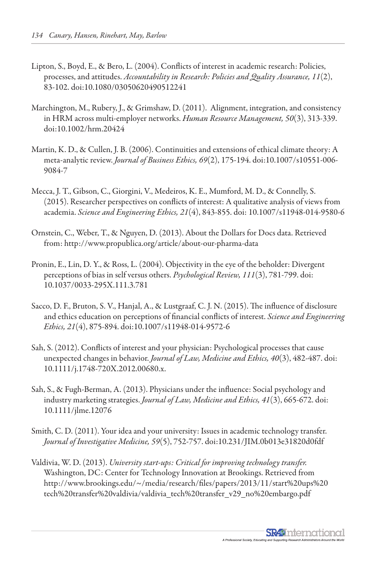- Lipton, S., Boyd, E., & Bero, L. (2004). Conflicts of interest in academic research: Policies, processes, and attitudes. *Accountability in Research: Policies and Quality Assurance, 11*(2), 83-102. doi:10.1080/03050620490512241
- Marchington, M., Rubery, J., & Grimshaw, D. (2011). Alignment, integration, and consistency in HRM across multi-employer networks. *Human Resource Management, 50*(3), 313-339. doi:10.1002/hrm.20424
- Martin, K. D., & Cullen, J. B. (2006). Continuities and extensions of ethical climate theory: A meta-analytic review. *Journal of Business Ethics, 69*(2), 175-194. doi:10.1007/s10551-006- 9084-7
- Mecca, J. T., Gibson, C., Giorgini, V., Medeiros, K. E., Mumford, M. D., & Connelly, S. (2015). Researcher perspectives on conflicts of interest: A qualitative analysis of views from academia. *Science and Engineering Ethics, 21*(4), 843-855. doi: 10.1007/s11948-014-9580-6
- Ornstein, C., Weber, T., & Nguyen, D. (2013). About the Dollars for Docs data. Retrieved from: http://www.propublica.org/article/about-our-pharma-data
- Pronin, E., Lin, D. Y., & Ross, L. (2004). Objectivity in the eye of the beholder: Divergent perceptions of bias in self versus others. *Psychological Review, 111*(3), 781-799. doi: 10.1037/0033-295X.111.3.781
- Sacco, D. F., Bruton, S. V., Hanjal, A., & Lustgraaf, C. J. N. (2015). The influence of disclosure and ethics education on perceptions of financial conflicts of interest. *Science and Engineering Ethics, 21*(4), 875-894. doi:10.1007/s11948-014-9572-6
- Sah, S. (2012). Conflicts of interest and your physician: Psychological processes that cause unexpected changes in behavior. *Journal of Law, Medicine and Ethics, 40*(3), 482-487. doi: 10.1111/j.1748-720X.2012.00680.x.
- Sah, S., & Fugh-Berman, A. (2013). Physicians under the influence: Social psychology and industry marketing strategies. *Journal of Law, Medicine and Ethics, 41*(3), 665-672. doi: 10.1111/jlme.12076
- Smith, C. D. (2011). Your idea and your university: Issues in academic technology transfer. *Journal of Investigative Medicine, 59*(5), 752-757. doi:10.231/JIM.0b013e31820d0fdf
- Valdivia, W. D. (2013). *University start-ups: Critical for improving technology transfer.*  Washington, DC: Center for Technology Innovation at Brookings. Retrieved from http://www.brookings.edu/~/media/research/files/papers/2013/11/start%20ups%20 tech%20transfer%20valdivia/valdivia\_tech%20transfer\_v29\_no%20embargo.pdf

**SR49** nternational A Professional Society, Educatin